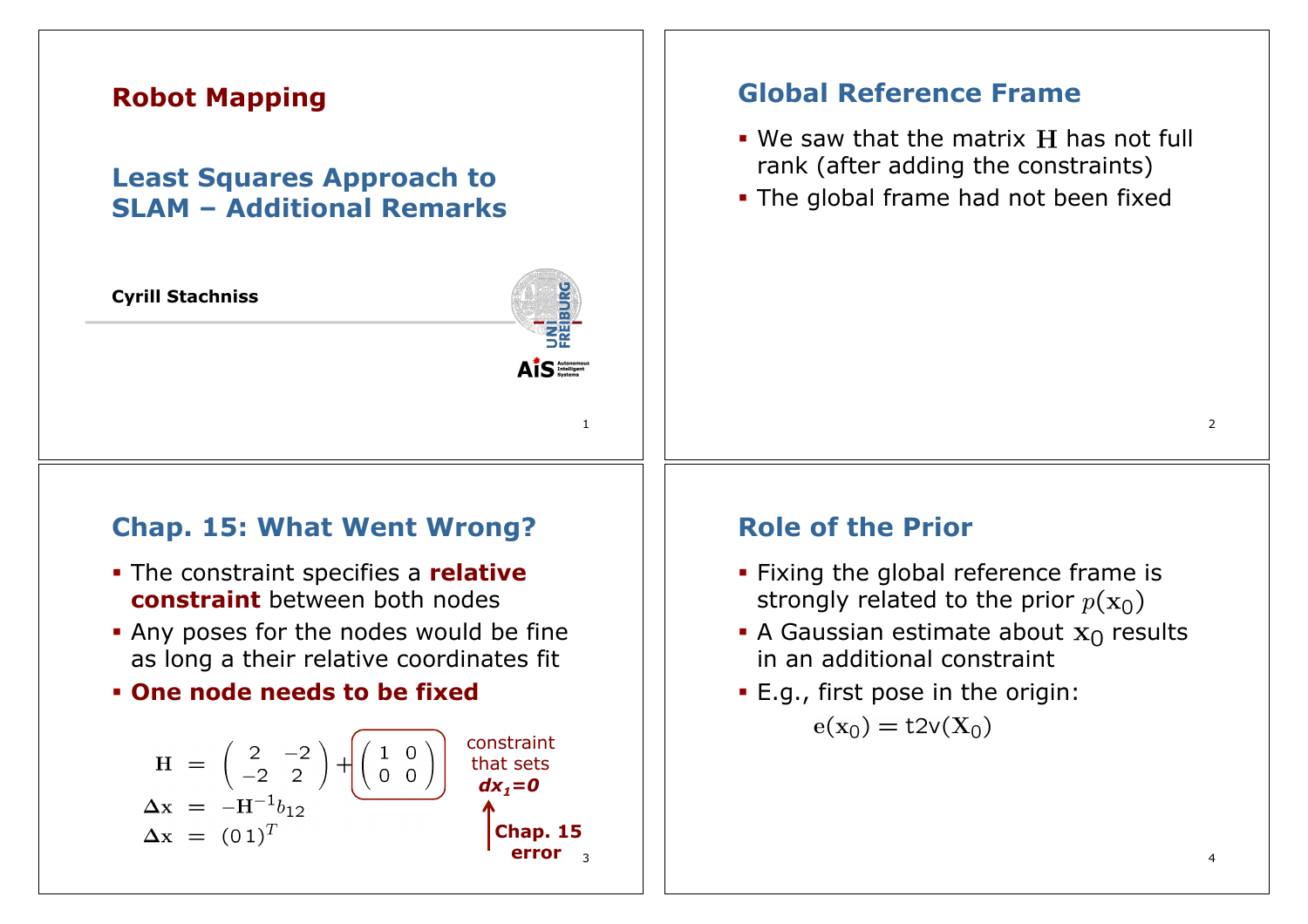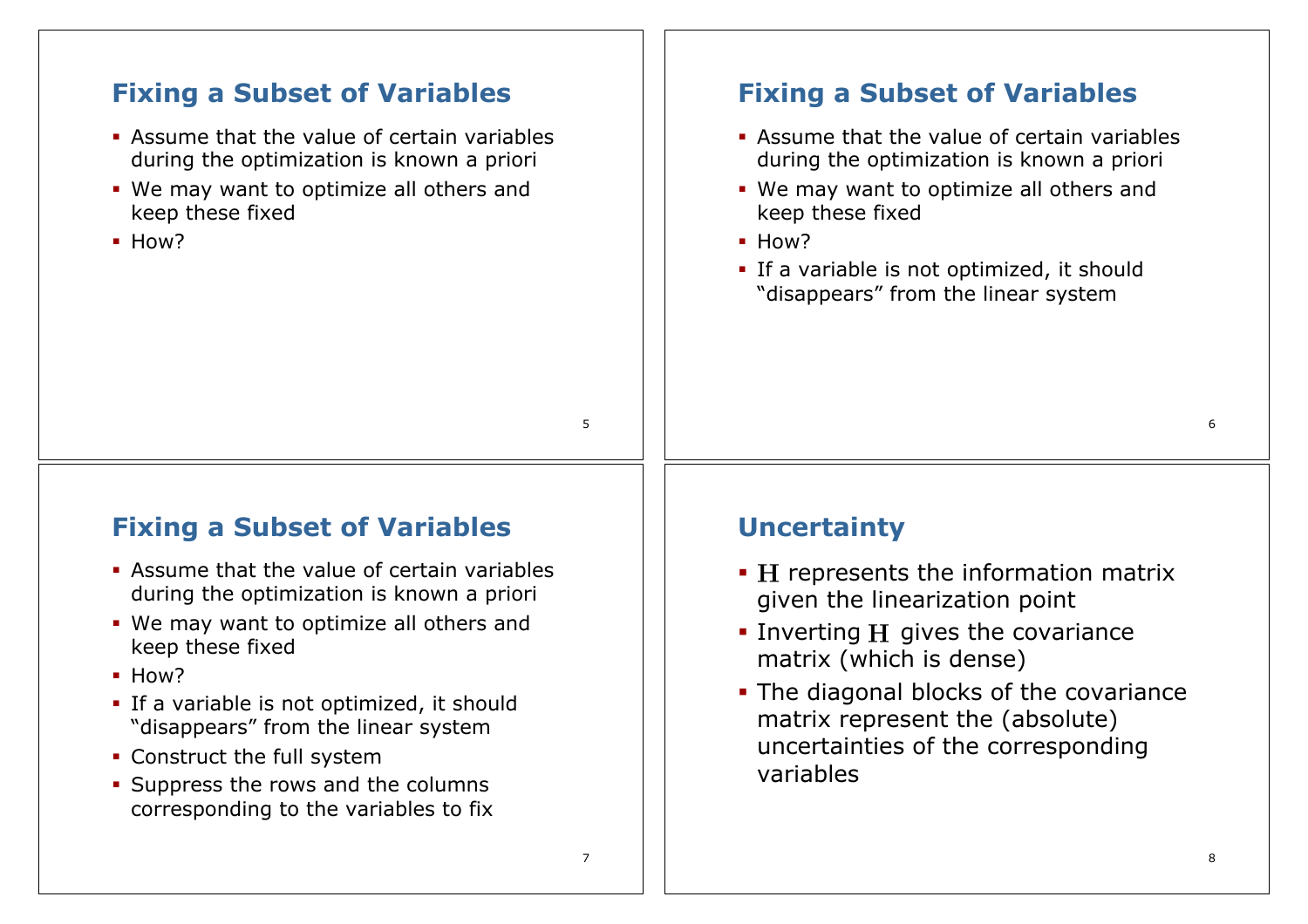### 5 **Fixing a Subset of Variables**  ! Assume that the value of certain variables during the optimization is known a priori ! We may want to optimize all others and keep these fixed ! How? **Fixing a Subset of Variables**  ! Assume that the value of certain variables during the optimization is known a priori ! We may want to optimize all others and keep these fixed ! How? **.** If a variable is not optimized, it should "disappears" from the linear system

## **Fixing a Subset of Variables**

- ! Assume that the value of certain variables during the optimization is known a priori
- ! We may want to optimize all others and keep these fixed
- ! How?
- **.** If a variable is not optimized, it should "disappears" from the linear system
- Construct the full system
- **.** Suppress the rows and the columns corresponding to the variables to fix

# **Uncertainty**

- **· H** represents the information matrix given the linearization point
- $\blacksquare$  Inverting H gives the covariance matrix (which is dense)
- . The diagonal blocks of the covariance matrix represent the (absolute) uncertainties of the corresponding variables

7

6